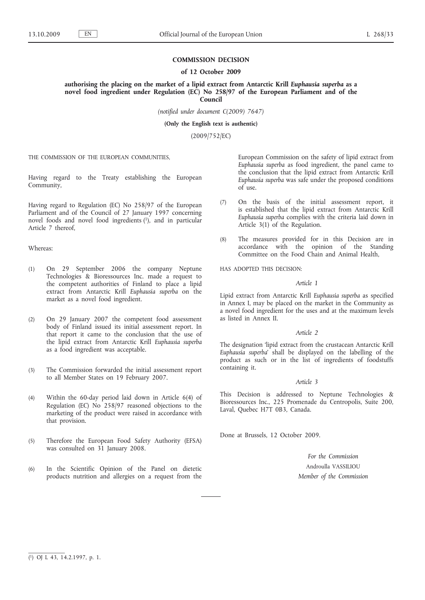### **COMMISSION DECISION**

#### **of 12 October 2009**

**authorising the placing on the market of a lipid extract from Antarctic Krill** *Euphausia superba* **as a novel food ingredient under Regulation (EC) No 258/97 of the European Parliament and of the Council**

*(notified under document C(2009) 7647)*

**(Only the English text is authentic)**

(2009/752/EC)

THE COMMISSION OF THE EUROPEAN COMMUNITIES,

Having regard to the Treaty establishing the European Community,

Having regard to Regulation (EC) No 258/97 of the European Parliament and of the Council of 27 January 1997 concerning novel foods and novel food ingredients (1), and in particular Article 7 thereof,

# Whereas:

- (1) On 29 September 2006 the company Neptune Technologies & Bioressources Inc. made a request to the competent authorities of Finland to place a lipid extract from Antarctic Krill *Euphausia superba* on the market as a novel food ingredient.
- (2) On 29 January 2007 the competent food assessment body of Finland issued its initial assessment report. In that report it came to the conclusion that the use of the lipid extract from Antarctic Krill *Euphausia superba* as a food ingredient was acceptable.
- (3) The Commission forwarded the initial assessment report to all Member States on 19 February 2007.
- (4) Within the 60-day period laid down in Article 6(4) of Regulation (EC) No 258/97 reasoned objections to the marketing of the product were raised in accordance with that provision.
- (5) Therefore the European Food Safety Authority (EFSA) was consulted on 31 January 2008.
- (6) In the Scientific Opinion of the Panel on dietetic products nutrition and allergies on a request from the

European Commission on the safety of lipid extract from *Euphausia superba* as food ingredient, the panel came to the conclusion that the lipid extract from Antarctic Krill *Euphausia superba* was safe under the proposed conditions of use.

- (7) On the basis of the initial assessment report, it is established that the lipid extract from Antarctic Krill *Euphausia superba* complies with the criteria laid down in Article 3(1) of the Regulation.
- (8) The measures provided for in this Decision are in accordance with the opinion of the Standing Committee on the Food Chain and Animal Health,

HAS ADOPTED THIS DECISION:

#### *Article 1*

Lipid extract from Antarctic Krill *Euphausia superba* as specified in Annex I, may be placed on the market in the Community as a novel food ingredient for the uses and at the maximum levels as listed in Annex II.

# *Article 2*

The designation 'lipid extract from the crustacean Antarctic Krill *Euphausia superba*' shall be displayed on the labelling of the product as such or in the list of ingredients of foodstuffs containing it.

### *Article 3*

This Decision is addressed to Neptune Technologies & Bioressources Inc., 225 Promenade du Centropolis, Suite 200, Laval, Quebec H7T 0B3, Canada.

Done at Brussels, 12 October 2009.

*For the Commission* Androulla VASSILIOU *Member of the Commission*